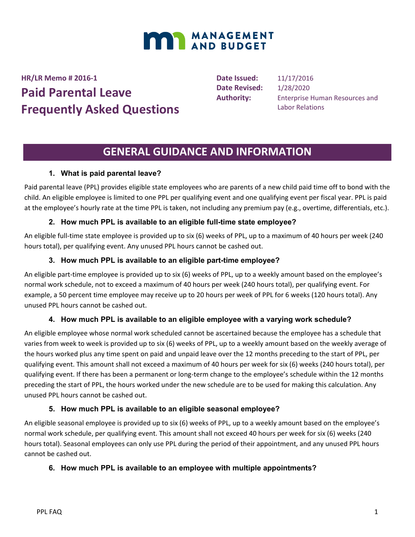

**HR/LR Memo # 2016-1**

# **Paid Parental Leave Frequently Asked Questions**

**Date Issued:** 11/17/2016 **Date Revised:** 1/28/2020

**Authority:** Enterprise Human Resources and Labor Relations

## **GENERAL GUIDANCE AND INFORMATION**

## **1. What is paid parental leave?**

Paid parental leave (PPL) provides eligible state employees who are parents of a new child paid time off to bond with the child. An eligible employee is limited to one PPL per qualifying event and one qualifying event per fiscal year. PPL is paid at the employee's hourly rate at the time PPL is taken, not including any premium pay (e.g., overtime, differentials, etc.).

## **2. How much PPL is available to an eligible full-time state employee?**

An eligible full-time state employee is provided up to six (6) weeks of PPL, up to a maximum of 40 hours per week (240 hours total), per qualifying event. Any unused PPL hours cannot be cashed out.

## **3. How much PPL is available to an eligible part-time employee?**

An eligible part-time employee is provided up to six (6) weeks of PPL, up to a weekly amount based on the employee's normal work schedule, not to exceed a maximum of 40 hours per week (240 hours total), per qualifying event. For example, a 50 percent time employee may receive up to 20 hours per week of PPL for 6 weeks (120 hours total). Any unused PPL hours cannot be cashed out.

## **4. How much PPL is available to an eligible employee with a varying work schedule?**

An eligible employee whose normal work scheduled cannot be ascertained because the employee has a schedule that varies from week to week is provided up to six (6) weeks of PPL, up to a weekly amount based on the weekly average of the hours worked plus any time spent on paid and unpaid leave over the 12 months preceding to the start of PPL, per qualifying event. This amount shall not exceed a maximum of 40 hours per week for six (6) weeks (240 hours total), per qualifying event. If there has been a permanent or long-term change to the employee's schedule within the 12 months preceding the start of PPL, the hours worked under the new schedule are to be used for making this calculation. Any unused PPL hours cannot be cashed out.

## **5. How much PPL is available to an eligible seasonal employee?**

An eligible seasonal employee is provided up to six (6) weeks of PPL, up to a weekly amount based on the employee's normal work schedule, per qualifying event. This amount shall not exceed 40 hours per week for six (6) weeks (240 hours total). Seasonal employees can only use PPL during the period of their appointment, and any unused PPL hours cannot be cashed out.

## **6. How much PPL is available to an employee with multiple appointments?**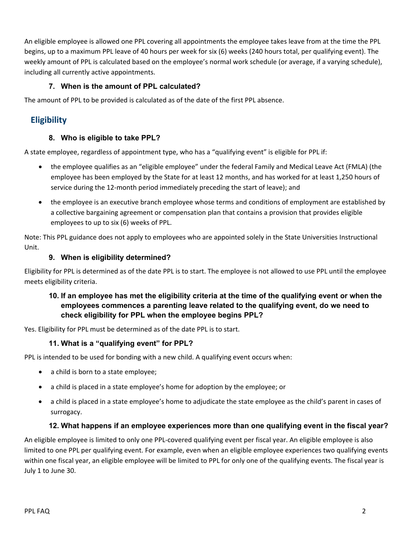An eligible employee is allowed one PPL covering all appointments the employee takes leave from at the time the PPL begins, up to a maximum PPL leave of 40 hours per week for six (6) weeks (240 hours total, per qualifying event). The weekly amount of PPL is calculated based on the employee's normal work schedule (or average, if a varying schedule), including all currently active appointments.

#### **7. When is the amount of PPL calculated?**

The amount of PPL to be provided is calculated as of the date of the first PPL absence.

## **Eligibility**

#### **8. Who is eligible to take PPL?**

A state employee, regardless of appointment type, who has a "qualifying event" is eligible for PPL if:

- the employee qualifies as an "eligible employee" under the federal Family and Medical Leave Act (FMLA) (the employee has been employed by the State for at least 12 months, and has worked for at least 1,250 hours of service during the 12-month period immediately preceding the start of leave); and
- the employee is an executive branch employee whose terms and conditions of employment are established by a collective bargaining agreement or compensation plan that contains a provision that provides eligible employees to up to six (6) weeks of PPL.

Note: This PPL guidance does not apply to employees who are appointed solely in the State Universities Instructional Unit.

#### **9. When is eligibility determined?**

Eligibility for PPL is determined as of the date PPL is to start. The employee is not allowed to use PPL until the employee meets eligibility criteria.

#### **10. If an employee has met the eligibility criteria at the time of the qualifying event or when the employees commences a parenting leave related to the qualifying event, do we need to check eligibility for PPL when the employee begins PPL?**

Yes. Eligibility for PPL must be determined as of the date PPL is to start.

#### **11. What is a "qualifying event" for PPL?**

PPL is intended to be used for bonding with a new child. A qualifying event occurs when:

- a child is born to a state employee;
- a child is placed in a state employee's home for adoption by the employee; or
- a child is placed in a state employee's home to adjudicate the state employee as the child's parent in cases of surrogacy.

#### **12. What happens if an employee experiences more than one qualifying event in the fiscal year?**

An eligible employee is limited to only one PPL-covered qualifying event per fiscal year. An eligible employee is also limited to one PPL per qualifying event. For example, even when an eligible employee experiences two qualifying events within one fiscal year, an eligible employee will be limited to PPL for only one of the qualifying events. The fiscal year is July 1 to June 30.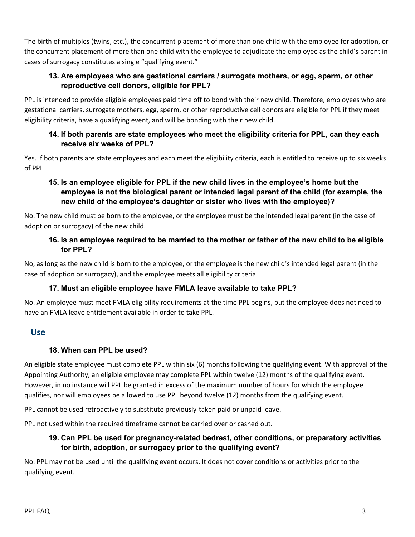The birth of multiples (twins, etc.), the concurrent placement of more than one child with the employee for adoption, or the concurrent placement of more than one child with the employee to adjudicate the employee as the child's parent in cases of surrogacy constitutes a single "qualifying event."

## **13. Are employees who are gestational carriers / surrogate mothers, or egg, sperm, or other reproductive cell donors, eligible for PPL?**

PPL is intended to provide eligible employees paid time off to bond with their new child. Therefore, employees who are gestational carriers, surrogate mothers, egg, sperm, or other reproductive cell donors are eligible for PPL if they meet eligibility criteria, have a qualifying event, and will be bonding with their new child.

## **14. If both parents are state employees who meet the eligibility criteria for PPL, can they each receive six weeks of PPL?**

Yes. If both parents are state employees and each meet the eligibility criteria, each is entitled to receive up to six weeks of PPL.

## **15. Is an employee eligible for PPL if the new child lives in the employee's home but the employee is not the biological parent or intended legal parent of the child (for example, the new child of the employee's daughter or sister who lives with the employee)?**

No. The new child must be born to the employee, or the employee must be the intended legal parent (in the case of adoption or surrogacy) of the new child.

## **16. Is an employee required to be married to the mother or father of the new child to be eligible for PPL?**

No, as long as the new child is born to the employee, or the employee is the new child's intended legal parent (in the case of adoption or surrogacy), and the employee meets all eligibility criteria.

## **17. Must an eligible employee have FMLA leave available to take PPL?**

No. An employee must meet FMLA eligibility requirements at the time PPL begins, but the employee does not need to have an FMLA leave entitlement available in order to take PPL.

## **Use**

## **18. When can PPL be used?**

An eligible state employee must complete PPL within six (6) months following the qualifying event. With approval of the Appointing Authority, an eligible employee may complete PPL within twelve (12) months of the qualifying event. However, in no instance will PPL be granted in excess of the maximum number of hours for which the employee qualifies, nor will employees be allowed to use PPL beyond twelve (12) months from the qualifying event.

PPL cannot be used retroactively to substitute previously-taken paid or unpaid leave.

PPL not used within the required timeframe cannot be carried over or cashed out.

## **19. Can PPL be used for pregnancy-related bedrest, other conditions, or preparatory activities for birth, adoption, or surrogacy prior to the qualifying event?**

No. PPL may not be used until the qualifying event occurs. It does not cover conditions or activities prior to the qualifying event.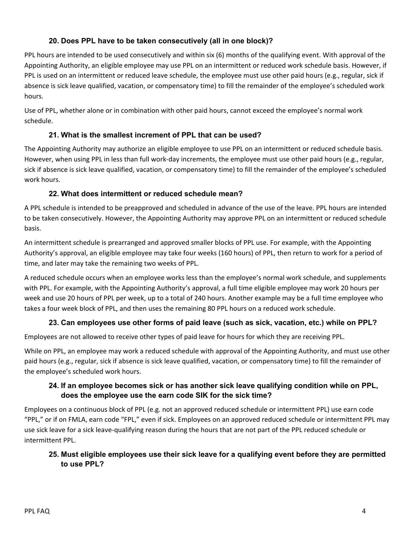## **20. Does PPL have to be taken consecutively (all in one block)?**

PPL hours are intended to be used consecutively and within six (6) months of the qualifying event. With approval of the Appointing Authority, an eligible employee may use PPL on an intermittent or reduced work schedule basis. However, if PPL is used on an intermittent or reduced leave schedule, the employee must use other paid hours (e.g., regular, sick if absence is sick leave qualified, vacation, or compensatory time) to fill the remainder of the employee's scheduled work hours.

Use of PPL, whether alone or in combination with other paid hours, cannot exceed the employee's normal work schedule.

## **21. What is the smallest increment of PPL that can be used?**

The Appointing Authority may authorize an eligible employee to use PPL on an intermittent or reduced schedule basis. However, when using PPL in less than full work-day increments, the employee must use other paid hours (e.g., regular, sick if absence is sick leave qualified, vacation, or compensatory time) to fill the remainder of the employee's scheduled work hours.

## **22. What does intermittent or reduced schedule mean?**

A PPL schedule is intended to be preapproved and scheduled in advance of the use of the leave. PPL hours are intended to be taken consecutively. However, the Appointing Authority may approve PPL on an intermittent or reduced schedule basis.

An intermittent schedule is prearranged and approved smaller blocks of PPL use. For example, with the Appointing Authority's approval, an eligible employee may take four weeks (160 hours) of PPL, then return to work for a period of time, and later may take the remaining two weeks of PPL.

A reduced schedule occurs when an employee works less than the employee's normal work schedule, and supplements with PPL. For example, with the Appointing Authority's approval, a full time eligible employee may work 20 hours per week and use 20 hours of PPL per week, up to a total of 240 hours. Another example may be a full time employee who takes a four week block of PPL, and then uses the remaining 80 PPL hours on a reduced work schedule.

## **23. Can employees use other forms of paid leave (such as sick, vacation, etc.) while on PPL?**

Employees are not allowed to receive other types of paid leave for hours for which they are receiving PPL.

While on PPL, an employee may work a reduced schedule with approval of the Appointing Authority, and must use other paid hours (e.g., regular, sick if absence is sick leave qualified, vacation, or compensatory time) to fill the remainder of the employee's scheduled work hours.

## **24. If an employee becomes sick or has another sick leave qualifying condition while on PPL, does the employee use the earn code SIK for the sick time?**

Employees on a continuous block of PPL (e.g. not an approved reduced schedule or intermittent PPL) use earn code "PPL," or if on FMLA, earn code "FPL," even if sick. Employees on an approved reduced schedule or intermittent PPL may use sick leave for a sick leave-qualifying reason during the hours that are not part of the PPL reduced schedule or intermittent PPL.

## **25. Must eligible employees use their sick leave for a qualifying event before they are permitted to use PPL?**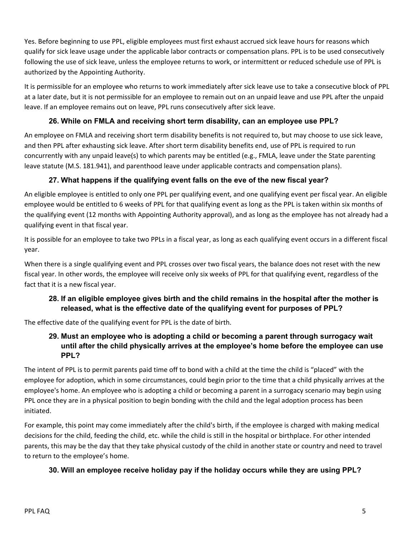Yes. Before beginning to use PPL, eligible employees must first exhaust accrued sick leave hours for reasons which qualify for sick leave usage under the applicable labor contracts or compensation plans. PPL is to be used consecutively following the use of sick leave, unless the employee returns to work, or intermittent or reduced schedule use of PPL is authorized by the Appointing Authority.

It is permissible for an employee who returns to work immediately after sick leave use to take a consecutive block of PPL at a later date, but it is not permissible for an employee to remain out on an unpaid leave and use PPL after the unpaid leave. If an employee remains out on leave, PPL runs consecutively after sick leave.

## **26. While on FMLA and receiving short term disability, can an employee use PPL?**

An employee on FMLA and receiving short term disability benefits is not required to, but may choose to use sick leave, and then PPL after exhausting sick leave. After short term disability benefits end, use of PPL is required to run concurrently with any unpaid leave(s) to which parents may be entitled (e.g., FMLA, leave under the State parenting leave statute (M.S. 181.941), and parenthood leave under applicable contracts and compensation plans).

## **27. What happens if the qualifying event falls on the eve of the new fiscal year?**

An eligible employee is entitled to only one PPL per qualifying event, and one qualifying event per fiscal year. An eligible employee would be entitled to 6 weeks of PPL for that qualifying event as long as the PPL is taken within six months of the qualifying event (12 months with Appointing Authority approval), and as long as the employee has not already had a qualifying event in that fiscal year.

It is possible for an employee to take two PPLs in a fiscal year, as long as each qualifying event occurs in a different fiscal year.

When there is a single qualifying event and PPL crosses over two fiscal years, the balance does not reset with the new fiscal year. In other words, the employee will receive only six weeks of PPL for that qualifying event, regardless of the fact that it is a new fiscal year.

## **28. If an eligible employee gives birth and the child remains in the hospital after the mother is released, what is the effective date of the qualifying event for purposes of PPL?**

The effective date of the qualifying event for PPL is the date of birth.

## **29. Must an employee who is adopting a child or becoming a parent through surrogacy wait until after the child physically arrives at the employee's home before the employee can use PPL?**

The intent of PPL is to permit parents paid time off to bond with a child at the time the child is "placed" with the employee for adoption, which in some circumstances, could begin prior to the time that a child physically arrives at the employee's home. An employee who is adopting a child or becoming a parent in a surrogacy scenario may begin using PPL once they are in a physical position to begin bonding with the child and the legal adoption process has been initiated.

For example, this point may come immediately after the child's birth, if the employee is charged with making medical decisions for the child, feeding the child, etc. while the child is still in the hospital or birthplace. For other intended parents, this may be the day that they take physical custody of the child in another state or country and need to travel to return to the employee's home.

## **30. Will an employee receive holiday pay if the holiday occurs while they are using PPL?**